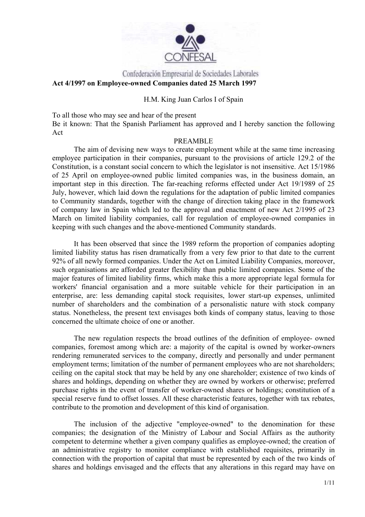

# Confederación Empresarial de Sociedades Laborales **Act 4/1997 on Employee-owned Companies dated 25 March 1997**

#### H.M. King Juan Carlos I of Spain

To all those who may see and hear of the present Be it known: That the Spanish Parliament has approved and I hereby sanction the following Act

#### PREAMBLE

The aim of devising new ways to create employment while at the same time increasing employee participation in their companies, pursuant to the provisions of article 129.2 of the Constitution, is a constant social concern to which the legislator is not insensitive. Act 15/1986 of 25 April on employee-owned public limited companies was, in the business domain, an important step in this direction. The far-reaching reforms effected under Act 19/1989 of 25 July, however, which laid down the regulations for the adaptation of public limited companies to Community standards, together with the change of direction taking place in the framework of company law in Spain which led to the approval and enactment of new Act 2/1995 of 23 March on limited liability companies, call for regulation of employee-owned companies in keeping with such changes and the above-mentioned Community standards.

It has been observed that since the 1989 reform the proportion of companies adopting limited liability status has risen dramatically from a very few prior to that date to the current 92% of all newly formed companies. Under the Act on Limited Liability Companies, moreover, such organisations are afforded greater flexibility than public limited companies. Some of the major features of limited liability firms, which make this a more appropriate legal formula for workers' financial organisation and a more suitable vehicle for their participation in an enterprise, are: less demanding capital stock requisites, lower start-up expenses, unlimited number of shareholders and the combination of a personalistic nature with stock company status. Nonetheless, the present text envisages both kinds of company status, leaving to those concerned the ultimate choice of one or another.

The new regulation respects the broad outlines of the definition of employee- owned companies, foremost among which are: a majority of the capital is owned by worker-owners rendering remunerated services to the company, directly and personally and under permanent employment terms; limitation of the number of permanent employees who are not shareholders; ceiling on the capital stock that may be held by any one shareholder; existence of two kinds of shares and holdings, depending on whether they are owned by workers or otherwise; preferred purchase rights in the event of transfer of worker-owned shares or holdings; constitution of a special reserve fund to offset losses. All these characteristic features, together with tax rebates, contribute to the promotion and development of this kind of organisation.

The inclusion of the adjective "employee-owned" to the denomination for these companies; the designation of the Ministry of Labour and Social Affairs as the authority competent to determine whether a given company qualifies as employee-owned; the creation of an administrative registry to monitor compliance with established requisites, primarily in connection with the proportion of capital that must be represented by each of the two kinds of shares and holdings envisaged and the effects that any alterations in this regard may have on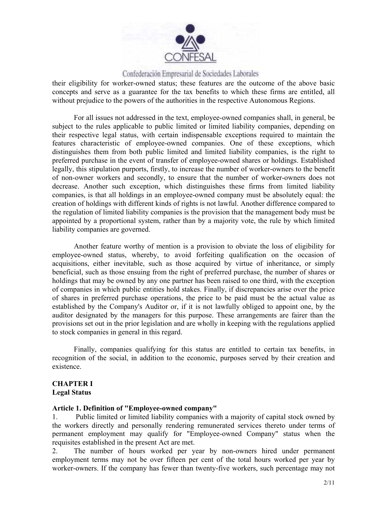

their eligibility for worker-owned status; these features are the outcome of the above basic concepts and serve as a guarantee for the tax benefits to which these firms are entitled, all without prejudice to the powers of the authorities in the respective Autonomous Regions.

For all issues not addressed in the text, employee-owned companies shall, in general, be subject to the rules applicable to public limited or limited liability companies, depending on their respective legal status, with certain indispensable exceptions required to maintain the features characteristic of employee-owned companies. One of these exceptions, which distinguishes them from both public limited and limited liability companies, is the right to preferred purchase in the event of transfer of employee-owned shares or holdings. Established legally, this stipulation purports, firstly, to increase the number of worker-owners to the benefit of non-owner workers and secondly, to ensure that the number of worker-owners does not decrease. Another such exception, which distinguishes these firms from limited liability companies, is that all holdings in an employee-owned company must be absolutely equal: the creation of holdings with different kinds of rights is not lawful. Another difference compared to the regulation of limited liability companies is the provision that the management body must be appointed by a proportional system, rather than by a majority vote, the rule by which limited liability companies are governed.

Another feature worthy of mention is a provision to obviate the loss of eligibility for employee-owned status, whereby, to avoid forfeiting qualification on the occasion of acquisitions, either inevitable, such as those acquired by virtue of inheritance, or simply beneficial, such as those ensuing from the right of preferred purchase, the number of shares or holdings that may be owned by any one partner has been raised to one third, with the exception of companies in which public entities hold stakes. Finally, if discrepancies arise over the price of shares in preferred purchase operations, the price to be paid must be the actual value as established by the Company's Auditor or, if it is not lawfully obliged to appoint one, by the auditor designated by the managers for this purpose. These arrangements are fairer than the provisions set out in the prior legislation and are wholly in keeping with the regulations applied to stock companies in general in this regard.

Finally, companies qualifying for this status are entitled to certain tax benefits, in recognition of the social, in addition to the economic, purposes served by their creation and existence.

#### **CHAPTER I Legal Status**

#### **Article 1. Definition of "Employee-owned company"**

1. Public limited or limited liability companies with a majority of capital stock owned by the workers directly and personally rendering remunerated services thereto under terms of permanent employment may qualify for "Employee-owned Company" status when the requisites established in the present Act are met.

2. The number of hours worked per year by non-owners hired under permanent employment terms may not be over fifteen per cent of the total hours worked per year by worker-owners. If the company has fewer than twenty-five workers, such percentage may not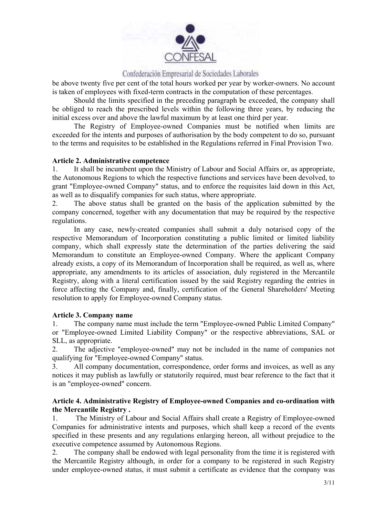

be above twenty five per cent of the total hours worked per year by worker-owners. No account is taken of employees with fixed-term contracts in the computation of these percentages.

 Should the limits specified in the preceding paragraph be exceeded, the company shall be obliged to reach the prescribed levels within the following three years, by reducing the initial excess over and above the lawful maximum by at least one third per year.

 The Registry of Employee-owned Companies must be notified when limits are exceeded for the intents and purposes of authorisation by the body competent to do so, pursuant to the terms and requisites to be established in the Regulations referred in Final Provision Two.

#### **Article 2. Administrative competence**

1. It shall be incumbent upon the Ministry of Labour and Social Affairs or, as appropriate, the Autonomous Regions to which the respective functions and services have been devolved, to grant "Employee-owned Company" status, and to enforce the requisites laid down in this Act, as well as to disqualify companies for such status, where appropriate.

2. The above status shall be granted on the basis of the application submitted by the company concerned, together with any documentation that may be required by the respective regulations.

In any case, newly-created companies shall submit a duly notarised copy of the respective Memorandum of Incorporation constituting a public limited or limited liability company, which shall expressly state the determination of the parties delivering the said Memorandum to constitute an Employee-owned Company. Where the applicant Company already exists, a copy of its Memorandum of Incorporation shall be required, as well as, where appropriate, any amendments to its articles of association, duly registered in the Mercantile Registry, along with a literal certification issued by the said Registry regarding the entries in force affecting the Company and, finally, certification of the General Shareholders' Meeting resolution to apply for Employee-owned Company status.

#### **Article 3. Company name**

1. The company name must include the term "Employee-owned Public Limited Company" or "Employee-owned Limited Liability Company" or the respective abbreviations, SAL or SLL, as appropriate.

2. The adjective "employee-owned" may not be included in the name of companies not qualifying for "Employee-owned Company" status.

3. All company documentation, correspondence, order forms and invoices, as well as any notices it may publish as lawfully or statutorily required, must bear reference to the fact that it is an "employee-owned" concern.

# **Article 4. Administrative Registry of Employee-owned Companies and co-ordination with the Mercantile Registry .**

1. The Ministry of Labour and Social Affairs shall create a Registry of Employee-owned Companies for administrative intents and purposes, which shall keep a record of the events specified in these presents and any regulations enlarging hereon, all without prejudice to the executive competence assumed by Autonomous Regions.

2. The company shall be endowed with legal personality from the time it is registered with the Mercantile Registry although, in order for a company to be registered in such Registry under employee-owned status, it must submit a certificate as evidence that the company was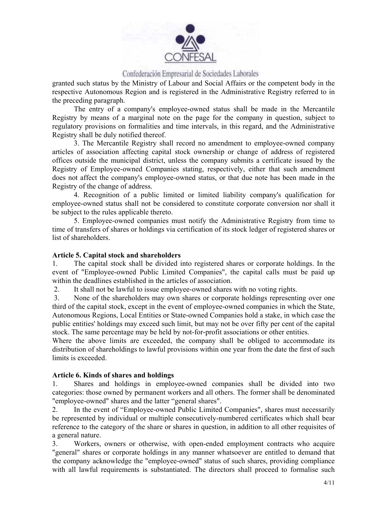

granted such status by the Ministry of Labour and Social Affairs or the competent body in the respective Autonomous Region and is registered in the Administrative Registry referred to in the preceding paragraph.

The entry of a company's employee-owned status shall be made in the Mercantile Registry by means of a marginal note on the page for the company in question, subject to regulatory provisions on formalities and time intervals, in this regard, and the Administrative Registry shall be duly notified thereof.

3. The Mercantile Registry shall record no amendment to employee-owned company articles of association affecting capital stock ownership or change of address of registered offices outside the municipal district, unless the company submits a certificate issued by the Registry of Employee-owned Companies stating, respectively, either that such amendment does not affect the company's employee-owned status, or that due note has been made in the Registry of the change of address.

4. Recognition of a public limited or limited liability company's qualification for employee-owned status shall not be considered to constitute corporate conversion nor shall it be subject to the rules applicable thereto.

5. Employee-owned companies must notify the Administrative Registry from time to time of transfers of shares or holdings via certification of its stock ledger of registered shares or list of shareholders.

#### **Article 5. Capital stock and shareholders**

1. The capital stock shall be divided into registered shares or corporate holdings. In the event of "Employee-owned Public Limited Companies", the capital calls must be paid up within the deadlines established in the articles of association.

2. It shall not be lawful to issue employee-owned shares with no voting rights.

 3. None of the shareholders may own shares or corporate holdings representing over one third of the capital stock, except in the event of employee-owned companies in which the State, Autonomous Regions, Local Entities or State-owned Companies hold a stake, in which case the public entities' holdings may exceed such limit, but may not be over fifty per cent of the capital stock. The same percentage may be held by not-for-profit associations or other entities.

Where the above limits are exceeded, the company shall be obliged to accommodate its distribution of shareholdings to lawful provisions within one year from the date the first of such limits is exceeded.

#### **Article 6. Kinds of shares and holdings**

1. Shares and holdings in employee-owned companies shall be divided into two categories: those owned by permanent workers and all others. The former shall be denominated "employee-owned" shares and the latter "general shares".

2. In the event of "Employee-owned Public Limited Companies", shares must necessarily be represented by individual or multiple consecutively-numbered certificates which shall bear reference to the category of the share or shares in question, in addition to all other requisites of a general nature.

3. Workers, owners or otherwise, with open-ended employment contracts who acquire "general" shares or corporate holdings in any manner whatsoever are entitled to demand that the company acknowledge the "employee-owned" status of such shares, providing compliance with all lawful requirements is substantiated. The directors shall proceed to formalise such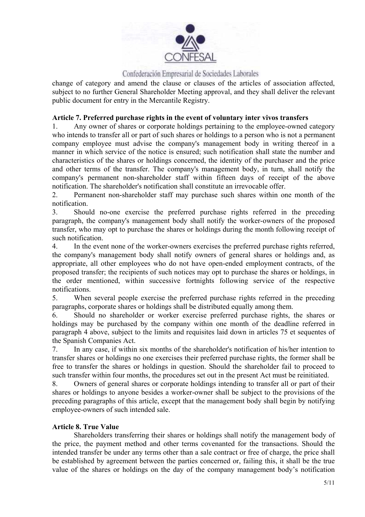

change of category and amend the clause or clauses of the articles of association affected, subject to no further General Shareholder Meeting approval, and they shall deliver the relevant public document for entry in the Mercantile Registry.

# **Article 7. Preferred purchase rights in the event of voluntary inter vivos transfers**

1. Any owner of shares or corporate holdings pertaining to the employee-owned category who intends to transfer all or part of such shares or holdings to a person who is not a permanent company employee must advise the company's management body in writing thereof in a manner in which service of the notice is ensured; such notification shall state the number and characteristics of the shares or holdings concerned, the identity of the purchaser and the price and other terms of the transfer. The company's management body, in turn, shall notify the company's permanent non-shareholder staff within fifteen days of receipt of the above notification. The shareholder's notification shall constitute an irrevocable offer.

2. Permanent non-shareholder staff may purchase such shares within one month of the notification.

3. Should no-one exercise the preferred purchase rights referred in the preceding paragraph, the company's management body shall notify the worker-owners of the proposed transfer, who may opt to purchase the shares or holdings during the month following receipt of such notification.

4. In the event none of the worker-owners exercises the preferred purchase rights referred, the company's management body shall notify owners of general shares or holdings and, as appropriate, all other employees who do not have open-ended employment contracts, of the proposed transfer; the recipients of such notices may opt to purchase the shares or holdings, in the order mentioned, within successive fortnights following service of the respective notifications.

5. When several people exercise the preferred purchase rights referred in the preceding paragraphs, corporate shares or holdings shall be distributed equally among them.

6. Should no shareholder or worker exercise preferred purchase rights, the shares or holdings may be purchased by the company within one month of the deadline referred in paragraph 4 above, subject to the limits and requisites laid down in articles 75 et sequentes of the Spanish Companies Act.

7. In any case, if within six months of the shareholder's notification of his/her intention to transfer shares or holdings no one exercises their preferred purchase rights, the former shall be free to transfer the shares or holdings in question. Should the shareholder fail to proceed to such transfer within four months, the procedures set out in the present Act must be reinitiated.

8. Owners of general shares or corporate holdings intending to transfer all or part of their shares or holdings to anyone besides a worker-owner shall be subject to the provisions of the preceding paragraphs of this article, except that the management body shall begin by notifying employee-owners of such intended sale.

# **Article 8. True Value**

Shareholders transferring their shares or holdings shall notify the management body of the price, the payment method and other terms covenanted for the transactions. Should the intended transfer be under any terms other than a sale contract or free of charge, the price shall be established by agreement between the parties concerned or, failing this, it shall be the true value of the shares or holdings on the day of the company management body's notification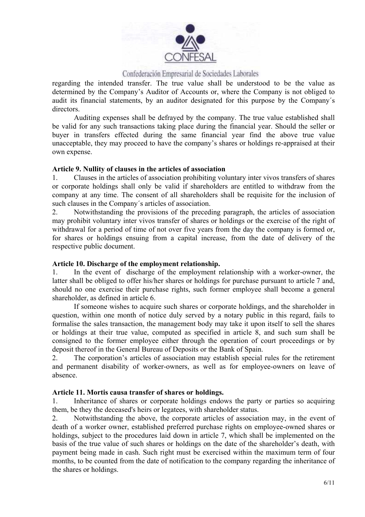

regarding the intended transfer. The true value shall be understood to be the value as determined by the Company's Auditor of Accounts or, where the Company is not obliged to audit its financial statements, by an auditor designated for this purpose by the Company´s directors.

Auditing expenses shall be defrayed by the company. The true value established shall be valid for any such transactions taking place during the financial year. Should the seller or buyer in transfers effected during the same financial year find the above true value unacceptable, they may proceed to have the company's shares or holdings re-appraised at their own expense.

#### **Article 9. Nullity of clauses in the articles of association**

1. Clauses in the articles of association prohibiting voluntary inter vivos transfers of shares or corporate holdings shall only be valid if shareholders are entitled to withdraw from the company at any time. The consent of all shareholders shall be requisite for the inclusion of such clauses in the Company´s articles of association.

2. Notwithstanding the provisions of the preceding paragraph, the articles of association may prohibit voluntary inter vivos transfer of shares or holdings or the exercise of the right of withdrawal for a period of time of not over five years from the day the company is formed or, for shares or holdings ensuing from a capital increase, from the date of delivery of the respective public document.

#### **Article 10. Discharge of the employment relationship.**

1. In the event of discharge of the employment relationship with a worker-owner, the latter shall be obliged to offer his/her shares or holdings for purchase pursuant to article 7 and, should no one exercise their purchase rights, such former employee shall become a general shareholder, as defined in article 6.

 If someone wishes to acquire such shares or corporate holdings, and the shareholder in question, within one month of notice duly served by a notary public in this regard, fails to formalise the sales transaction, the management body may take it upon itself to sell the shares or holdings at their true value, computed as specified in article 8, and such sum shall be consigned to the former employee either through the operation of court proceedings or by deposit thereof in the General Bureau of Deposits or the Bank of Spain.

2. The corporation's articles of association may establish special rules for the retirement and permanent disability of worker-owners, as well as for employee-owners on leave of absence.

# **Article 11. Mortis causa transfer of shares or holdings.**

1. Inheritance of shares or corporate holdings endows the party or parties so acquiring them, be they the deceased's heirs or legatees, with shareholder status.

2. Notwithstanding the above, the corporate articles of association may, in the event of death of a worker owner, established preferred purchase rights on employee-owned shares or holdings, subject to the procedures laid down in article 7, which shall be implemented on the basis of the true value of such shares or holdings on the date of the shareholder's death, with payment being made in cash. Such right must be exercised within the maximum term of four months, to be counted from the date of notification to the company regarding the inheritance of the shares or holdings.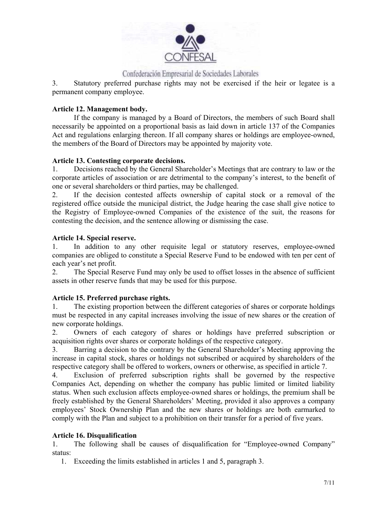

3. Statutory preferred purchase rights may not be exercised if the heir or legatee is a permanent company employee.

# **Article 12. Management body.**

If the company is managed by a Board of Directors, the members of such Board shall necessarily be appointed on a proportional basis as laid down in article 137 of the Companies Act and regulations enlarging thereon. If all company shares or holdings are employee-owned, the members of the Board of Directors may be appointed by majority vote.

# **Article 13. Contesting corporate decisions.**

1. Decisions reached by the General Shareholder's Meetings that are contrary to law or the corporate articles of association or are detrimental to the company's interest, to the benefit of one or several shareholders or third parties, may be challenged.

2. If the decision contested affects ownership of capital stock or a removal of the registered office outside the municipal district, the Judge hearing the case shall give notice to the Registry of Employee-owned Companies of the existence of the suit, the reasons for contesting the decision, and the sentence allowing or dismissing the case.

# **Article 14. Special reserve.**

1. In addition to any other requisite legal or statutory reserves, employee-owned companies are obliged to constitute a Special Reserve Fund to be endowed with ten per cent of each year's net profit.

2. The Special Reserve Fund may only be used to offset losses in the absence of sufficient assets in other reserve funds that may be used for this purpose.

# **Article 15. Preferred purchase rights.**

1. The existing proportion between the different categories of shares or corporate holdings must be respected in any capital increases involving the issue of new shares or the creation of new corporate holdings.

2. Owners of each category of shares or holdings have preferred subscription or acquisition rights over shares or corporate holdings of the respective category.

3. Barring a decision to the contrary by the General Shareholder's Meeting approving the increase in capital stock, shares or holdings not subscribed or acquired by shareholders of the respective category shall be offered to workers, owners or otherwise, as specified in article 7.

4. Exclusion of preferred subscription rights shall be governed by the respective Companies Act, depending on whether the company has public limited or limited liability status. When such exclusion affects employee-owned shares or holdings, the premium shall be freely established by the General Shareholders' Meeting, provided it also approves a company employees' Stock Ownership Plan and the new shares or holdings are both earmarked to comply with the Plan and subject to a prohibition on their transfer for a period of five years.

# **Article 16. Disqualification**

1. The following shall be causes of disqualification for "Employee-owned Company" status:

1. Exceeding the limits established in articles 1 and 5, paragraph 3.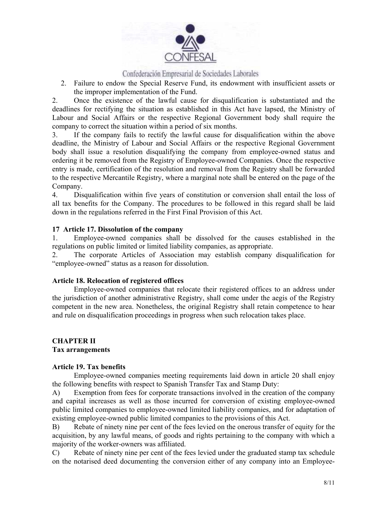

2. Failure to endow the Special Reserve Fund, its endowment with insufficient assets or the improper implementation of the Fund.

2. Once the existence of the lawful cause for disqualification is substantiated and the deadlines for rectifying the situation as established in this Act have lapsed, the Ministry of Labour and Social Affairs or the respective Regional Government body shall require the company to correct the situation within a period of six months.

3. If the company fails to rectify the lawful cause for disqualification within the above deadline, the Ministry of Labour and Social Affairs or the respective Regional Government body shall issue a resolution disqualifying the company from employee-owned status and ordering it be removed from the Registry of Employee-owned Companies. Once the respective entry is made, certification of the resolution and removal from the Registry shall be forwarded to the respective Mercantile Registry, where a marginal note shall be entered on the page of the Company.

4. Disqualification within five years of constitution or conversion shall entail the loss of all tax benefits for the Company. The procedures to be followed in this regard shall be laid down in the regulations referred in the First Final Provision of this Act.

#### **17 Article 17. Dissolution of the company**

1. Employee-owned companies shall be dissolved for the causes established in the regulations on public limited or limited liability companies, as appropriate.

2. The corporate Articles of Association may establish company disqualification for "employee-owned" status as a reason for dissolution.

#### **Article 18. Relocation of registered offices**

Employee-owned companies that relocate their registered offices to an address under the jurisdiction of another administrative Registry, shall come under the aegis of the Registry competent in the new area. Nonetheless, the original Registry shall retain competence to hear and rule on disqualification proceedings in progress when such relocation takes place.

# **CHAPTER II**

# **Tax arrangements**

#### **Article 19. Tax benefits**

Employee-owned companies meeting requirements laid down in article 20 shall enjoy the following benefits with respect to Spanish Transfer Tax and Stamp Duty:

A) Exemption from fees for corporate transactions involved in the creation of the company and capital increases as well as those incurred for conversion of existing employee-owned public limited companies to employee-owned limited liability companies, and for adaptation of existing employee-owned public limited companies to the provisions of this Act.

B) Rebate of ninety nine per cent of the fees levied on the onerous transfer of equity for the acquisition, by any lawful means, of goods and rights pertaining to the company with which a majority of the worker-owners was affiliated.

C) Rebate of ninety nine per cent of the fees levied under the graduated stamp tax schedule on the notarised deed documenting the conversion either of any company into an Employee-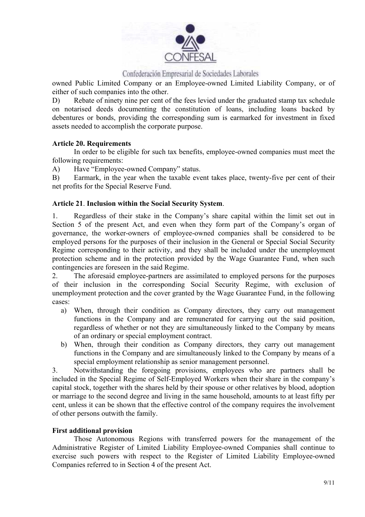

owned Public Limited Company or an Employee-owned Limited Liability Company, or of either of such companies into the other.

D) Rebate of ninety nine per cent of the fees levied under the graduated stamp tax schedule on notarised deeds documenting the constitution of loans, including loans backed by debentures or bonds, providing the corresponding sum is earmarked for investment in fixed assets needed to accomplish the corporate purpose.

# **Article 20. Requirements**

In order to be eligible for such tax benefits, employee-owned companies must meet the following requirements:

A) Have "Employee-owned Company" status.

B) Earmark, in the year when the taxable event takes place, twenty-five per cent of their net profits for the Special Reserve Fund.

#### **Article 21**. **Inclusion within the Social Security System**.

1. Regardless of their stake in the Company's share capital within the limit set out in Section 5 of the present Act, and even when they form part of the Company's organ of governance, the worker-owners of employee-owned companies shall be considered to be employed persons for the purposes of their inclusion in the General or Special Social Security Regime corresponding to their activity, and they shall be included under the unemployment protection scheme and in the protection provided by the Wage Guarantee Fund, when such contingencies are foreseen in the said Regime.

2. The aforesaid employee-partners are assimilated to employed persons for the purposes of their inclusion in the corresponding Social Security Regime, with exclusion of unemployment protection and the cover granted by the Wage Guarantee Fund, in the following cases:

- a) When, through their condition as Company directors, they carry out management functions in the Company and are remunerated for carrying out the said position, regardless of whether or not they are simultaneously linked to the Company by means of an ordinary or special employment contract.
- b) When, through their condition as Company directors, they carry out management functions in the Company and are simultaneously linked to the Company by means of a special employment relationship as senior management personnel.

3. Notwithstanding the foregoing provisions, employees who are partners shall be included in the Special Regime of Self-Employed Workers when their share in the company's capital stock, together with the shares held by their spouse or other relatives by blood, adoption or marriage to the second degree and living in the same household, amounts to at least fifty per cent, unless it can be shown that the effective control of the company requires the involvement of other persons outwith the family.

#### **First additional provision**

Those Autonomous Regions with transferred powers for the management of the Administrative Register of Limited Liability Employee-owned Companies shall continue to exercise such powers with respect to the Register of Limited Liability Employee-owned Companies referred to in Section 4 of the present Act.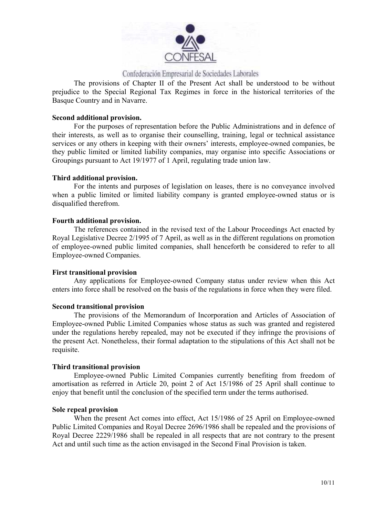

The provisions of Chapter II of the Present Act shall be understood to be without prejudice to the Special Regional Tax Regimes in force in the historical territories of the Basque Country and in Navarre.

#### **Second additional provision.**

For the purposes of representation before the Public Administrations and in defence of their interests, as well as to organise their counselling, training, legal or technical assistance services or any others in keeping with their owners' interests, employee-owned companies, be they public limited or limited liability companies, may organise into specific Associations or Groupings pursuant to Act 19/1977 of 1 April, regulating trade union law.

#### **Third additional provision.**

For the intents and purposes of legislation on leases, there is no conveyance involved when a public limited or limited liability company is granted employee-owned status or is disqualified therefrom.

#### **Fourth additional provision.**

The references contained in the revised text of the Labour Proceedings Act enacted by Royal Legislative Decree 2/1995 of 7 April, as well as in the different regulations on promotion of employee-owned public limited companies, shall henceforth be considered to refer to all Employee-owned Companies.

#### **First transitional provision**

Any applications for Employee-owned Company status under review when this Act enters into force shall be resolved on the basis of the regulations in force when they were filed.

#### **Second transitional provision**

The provisions of the Memorandum of Incorporation and Articles of Association of Employee-owned Public Limited Companies whose status as such was granted and registered under the regulations hereby repealed, may not be executed if they infringe the provisions of the present Act. Nonetheless, their formal adaptation to the stipulations of this Act shall not be requisite.

#### **Third transitional provision**

Employee-owned Public Limited Companies currently benefiting from freedom of amortisation as referred in Article 20, point 2 of Act 15/1986 of 25 April shall continue to enjoy that benefit until the conclusion of the specified term under the terms authorised.

#### **Sole repeal provision**

When the present Act comes into effect, Act 15/1986 of 25 April on Employee-owned Public Limited Companies and Royal Decree 2696/1986 shall be repealed and the provisions of Royal Decree 2229/1986 shall be repealed in all respects that are not contrary to the present Act and until such time as the action envisaged in the Second Final Provision is taken.